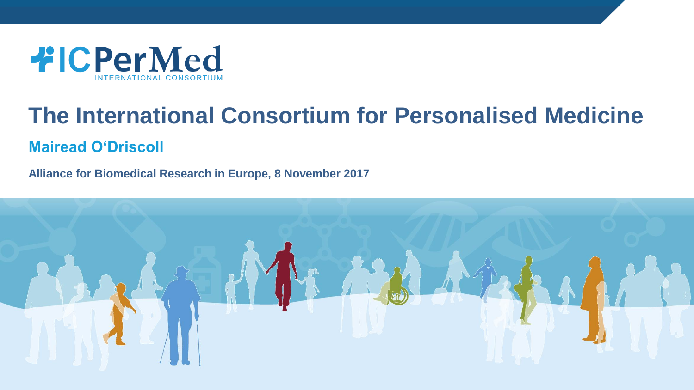

### **The International Consortium for Personalised Medicine Mairead O'Driscoll**

**Alliance for Biomedical Research in Europe, 8 November 2017**

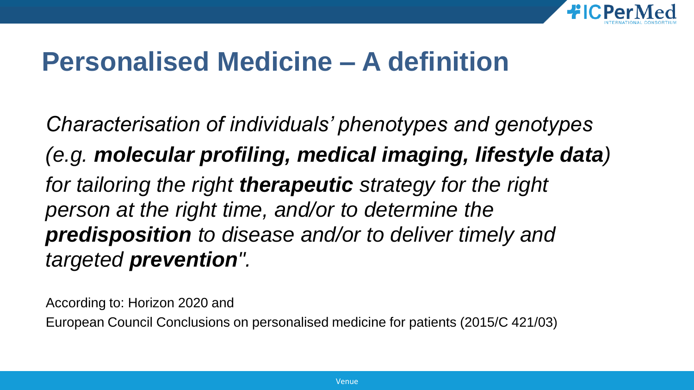

### **Personalised Medicine – A definition**

*Characterisation of individuals' phenotypes and genotypes (e.g. molecular profiling, medical imaging, lifestyle data) for tailoring the right therapeutic strategy for the right person at the right time, and/or to determine the predisposition to disease and/or to deliver timely and targeted prevention".*

According to: Horizon 2020 and

European Council Conclusions on personalised medicine for patients (2015/C 421/03)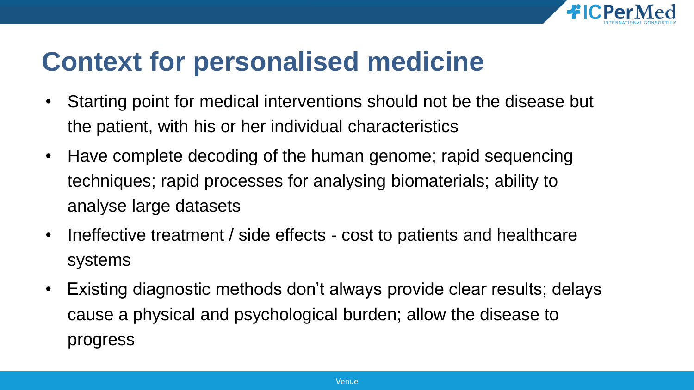

### **Context for personalised medicine**

- Starting point for medical interventions should not be the disease but the patient, with his or her individual characteristics
- Have complete decoding of the human genome; rapid sequencing techniques; rapid processes for analysing biomaterials; ability to analyse large datasets
- Ineffective treatment / side effects cost to patients and healthcare systems
- Existing diagnostic methods don't always provide clear results; delays cause a physical and psychological burden; allow the disease to progress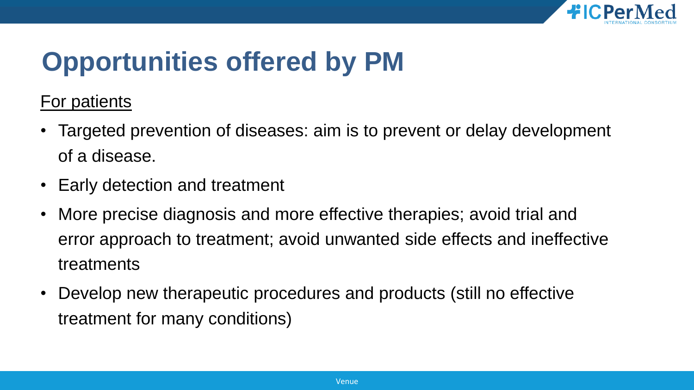

For patients

- Targeted prevention of diseases: aim is to prevent or delay development of a disease.
- Early detection and treatment
- More precise diagnosis and more effective therapies; avoid trial and error approach to treatment; avoid unwanted side effects and ineffective treatments
- Develop new therapeutic procedures and products (still no effective treatment for many conditions)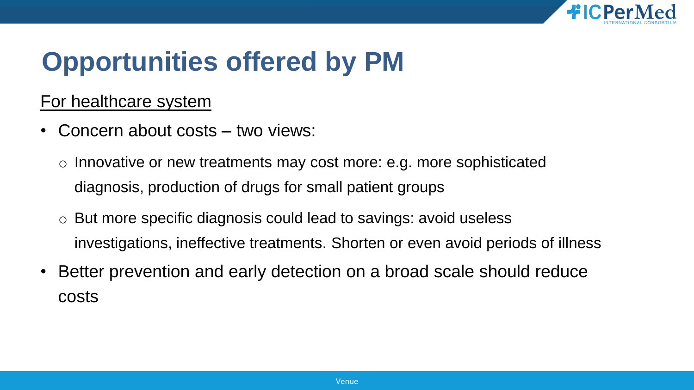

#### For healthcare system

- Concern about costs two views:
	- o Innovative or new treatments may cost more: e.g. more sophisticated diagnosis, production of drugs for small patient groups
	- o But more specific diagnosis could lead to savings: avoid useless investigations, ineffective treatments. Shorten or even avoid periods of illness
- Better prevention and early detection on a broad scale should reduce costs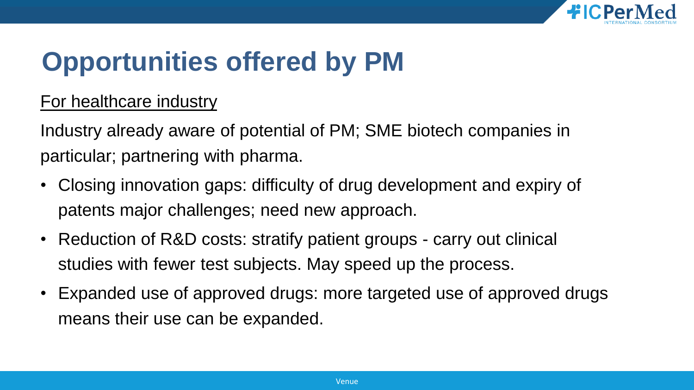

#### For healthcare industry

Industry already aware of potential of PM; SME biotech companies in particular; partnering with pharma.

- Closing innovation gaps: difficulty of drug development and expiry of patents major challenges; need new approach.
- Reduction of R&D costs: stratify patient groups carry out clinical studies with fewer test subjects. May speed up the process.
- Expanded use of approved drugs: more targeted use of approved drugs means their use can be expanded.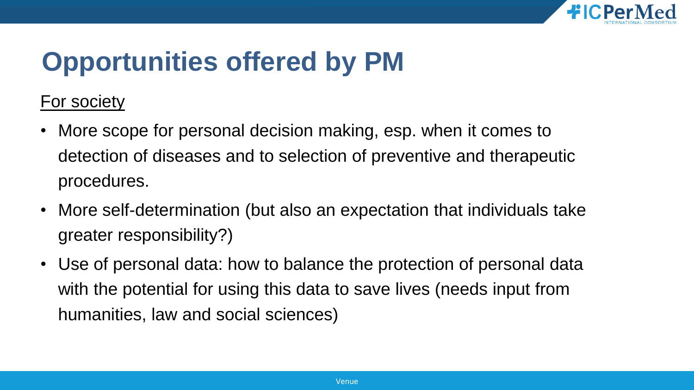

For society

- More scope for personal decision making, esp. when it comes to detection of diseases and to selection of preventive and therapeutic procedures.
- More self-determination (but also an expectation that individuals take greater responsibility?)
- Use of personal data: how to balance the protection of personal data with the potential for using this data to save lives (needs input from humanities, law and social sciences)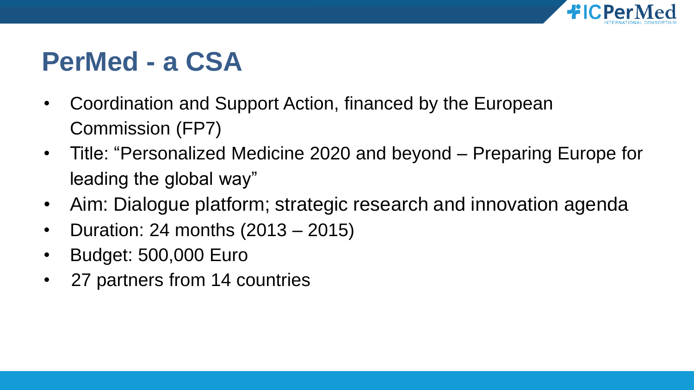

## **PerMed - a CSA**

- Coordination and Support Action, financed by the European Commission (FP7)
- Title: "Personalized Medicine 2020 and beyond Preparing Europe for leading the global way"
- Aim: Dialogue platform; strategic research and innovation agenda
- Duration: 24 months (2013 2015)
- Budget: 500,000 Euro
- 27 partners from 14 countries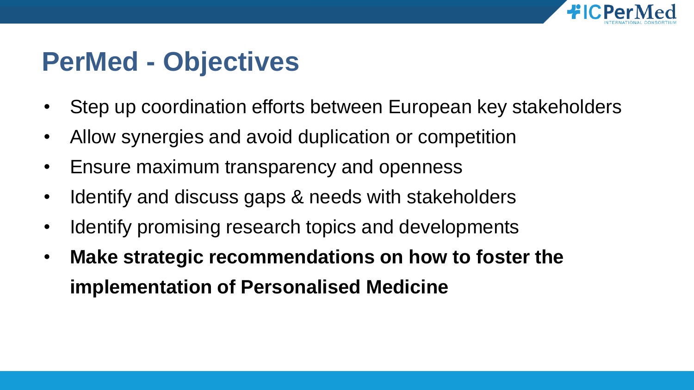

## **PerMed - Objectives**

- Step up coordination efforts between European key stakeholders
- Allow synergies and avoid duplication or competition
- Ensure maximum transparency and openness
- Identify and discuss gaps & needs with stakeholders
- Identify promising research topics and developments
- **Make strategic recommendations on how to foster the implementation of Personalised Medicine**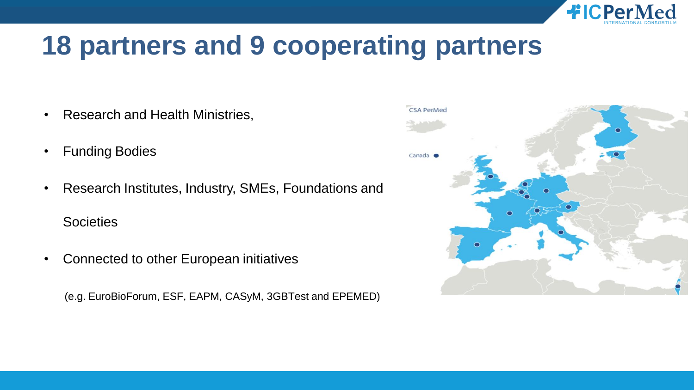

## **18 partners and 9 cooperating partners**

- Research and Health Ministries,
- **Funding Bodies**
- Research Institutes, Industry, SMEs, Foundations and **Societies**
- Connected to other European initiatives

(e.g. EuroBioForum, ESF, EAPM, CASyM, 3GBTest and EPEMED)

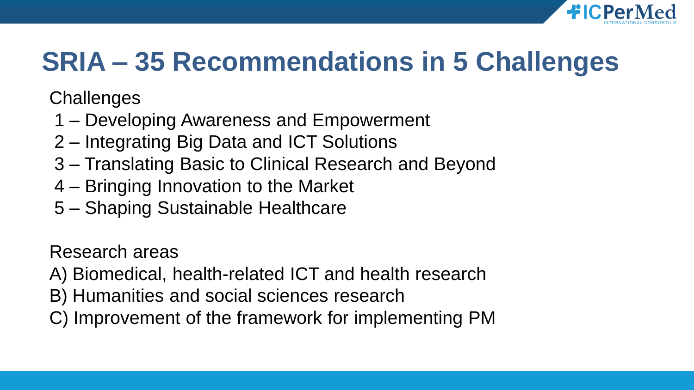

# **SRIA – 35 Recommendations in 5 Challenges**

**Challenges** 

- 1 Developing Awareness and Empowerment
- 2 Integrating Big Data and ICT Solutions
- 3 Translating Basic to Clinical Research and Beyond
- 4 Bringing Innovation to the Market
- 5 Shaping Sustainable Healthcare

Research areas

- A) Biomedical, health-related ICT and health research
- B) Humanities and social sciences research
- C) Improvement of the framework for implementing PM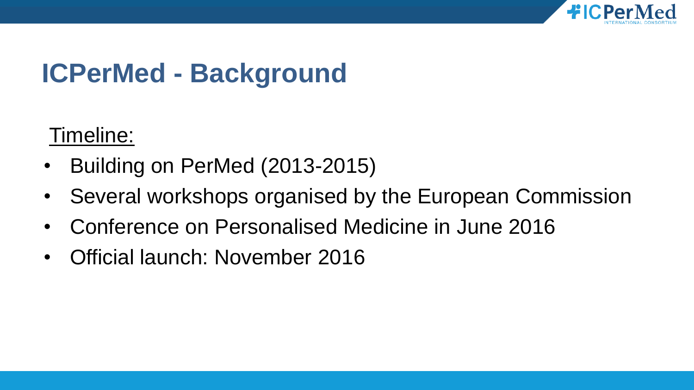

# **ICPerMed - Background**

Timeline:

- Building on PerMed (2013-2015)
- Several workshops organised by the European Commission
- Conference on Personalised Medicine in June 2016
- Official launch: November 2016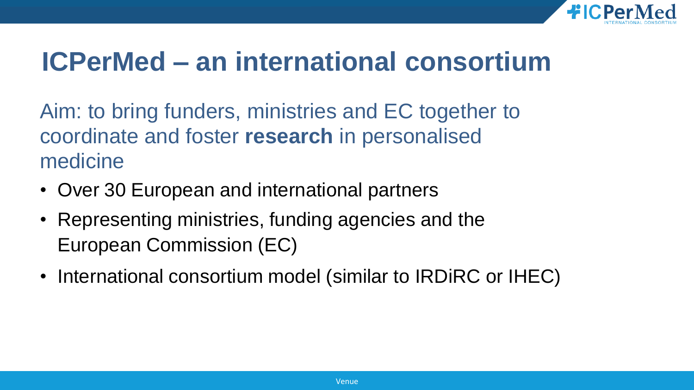

## **ICPerMed – an international consortium**

Aim: to bring funders, ministries and EC together to coordinate and foster **research** in personalised medicine

- Over 30 European and international partners
- Representing ministries, funding agencies and the European Commission (EC)
- International consortium model (similar to IRDiRC or IHEC)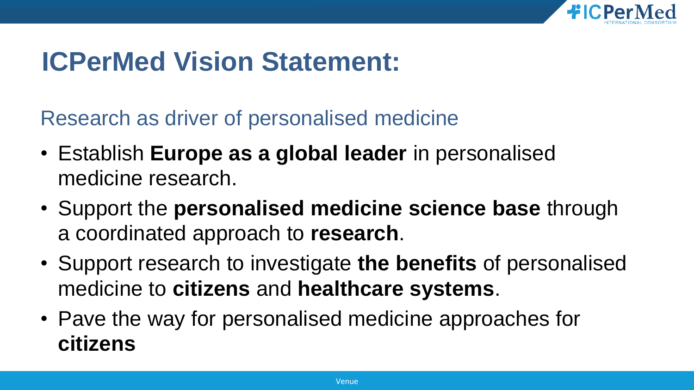

### **ICPerMed Vision Statement:**

Research as driver of personalised medicine

- Establish **Europe as a global leader** in personalised medicine research.
- Support the **personalised medicine science base** through a coordinated approach to **research**.
- Support research to investigate **the benefits** of personalised medicine to **citizens** and **healthcare systems**.
- Pave the way for personalised medicine approaches for **citizens**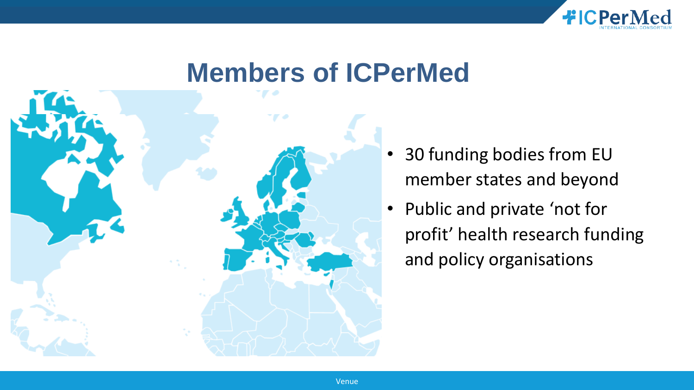

### **Members of ICPerMed**



- 30 funding bodies from EU member states and beyond
- Public and private 'not for profit' health research funding and policy organisations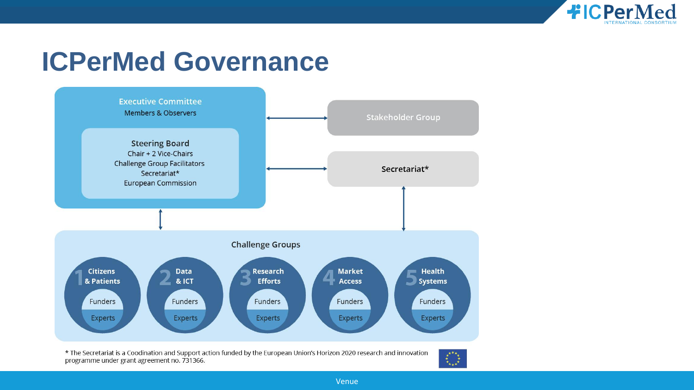

### **ICPerMed Governance**



\* The Secretariat is a Coodination and Support action funded by the European Union's Horizon 2020 research and innovation programme under grant agreement no. 731366.



Venue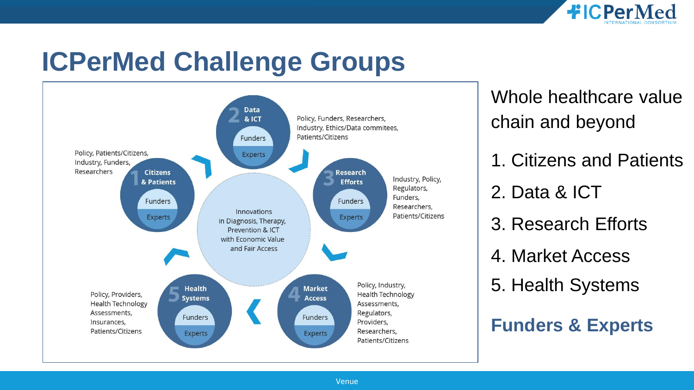

### **ICPerMed Challenge Groups**



Whole healthcare value chain and beyond

- 1. Citizens and Patients
- 2. Data & ICT
- 3. Research Efforts
- 4. Market Access
- 5. Health Systems

#### **Funders & Experts**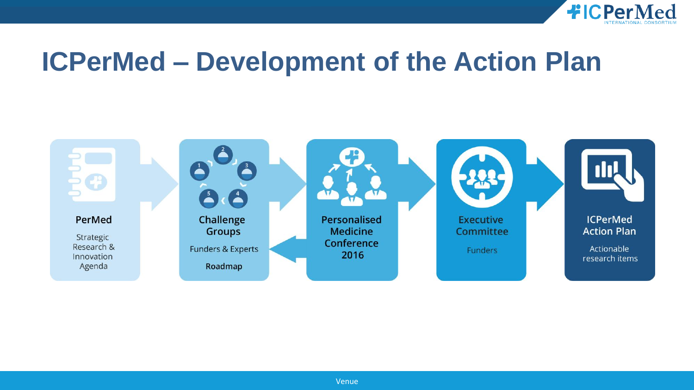

### **ICPerMed – Development of the Action Plan**

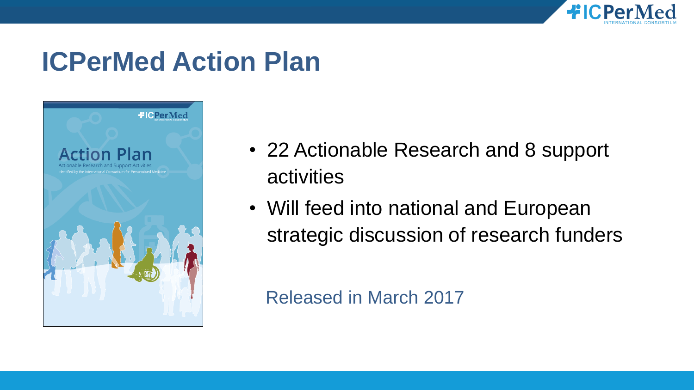

## **ICPerMed Action Plan**



- 22 Actionable Research and 8 support activities
- Will feed into national and European strategic discussion of research funders

Released in March 2017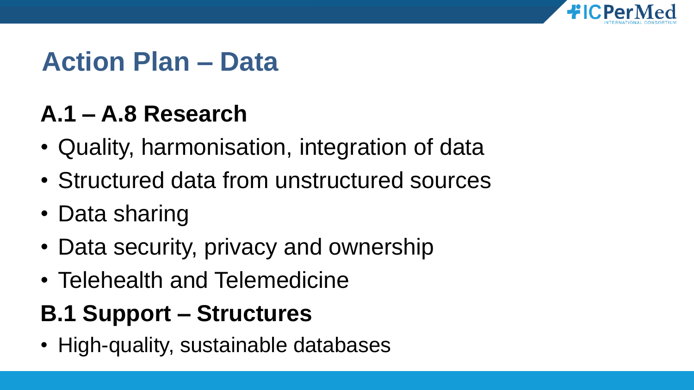

## **Action Plan – Data**

### **A.1 – A.8 Research**

- Quality, harmonisation, integration of data
- Structured data from unstructured sources
- Data sharing
- Data security, privacy and ownership
- Telehealth and Telemedicine

### **B.1 Support – Structures**

• High-quality, sustainable databases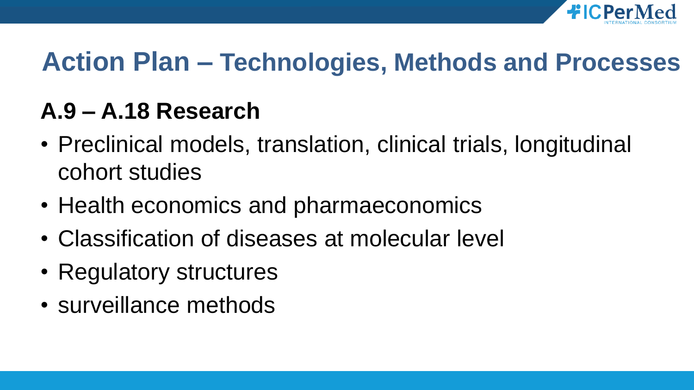

## **Action Plan – Technologies, Methods and Processes**

### **A.9 – A.18 Research**

- Preclinical models, translation, clinical trials, longitudinal cohort studies
- Health economics and pharmaeconomics
- Classification of diseases at molecular level
- Regulatory structures
- surveillance methods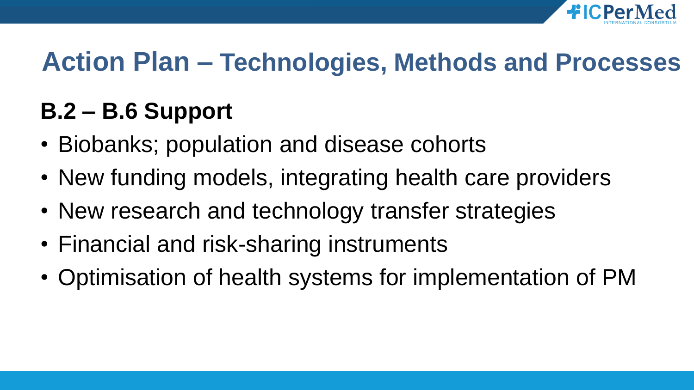

## **Action Plan – Technologies, Methods and Processes**

### **B.2 – B.6 Support**

- Biobanks; population and disease cohorts
- New funding models, integrating health care providers
- New research and technology transfer strategies
- Financial and risk-sharing instruments
- Optimisation of health systems for implementation of PM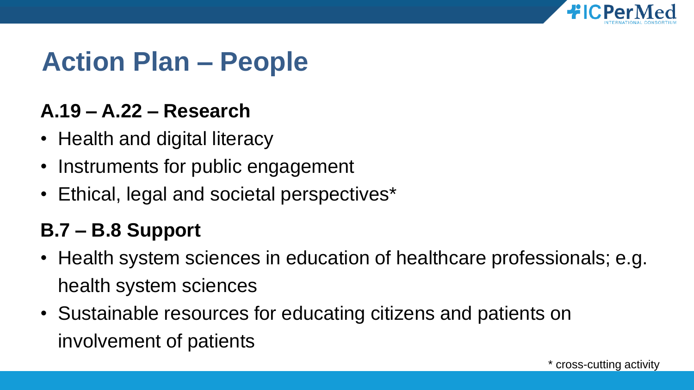

### **Action Plan – People**

#### **A.19 – A.22 – Research**

- Health and digital literacy
- Instruments for public engagement
- Ethical, legal and societal perspectives\*

#### **B.7 – B.8 Support**

- Health system sciences in education of healthcare professionals; e.g. health system sciences
- Sustainable resources for educating citizens and patients on involvement of patients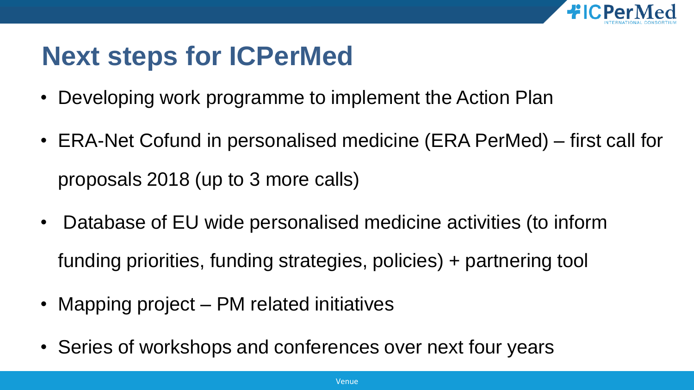

## **Next steps for ICPerMed**

- Developing work programme to implement the Action Plan
- ERA-Net Cofund in personalised medicine (ERA PerMed) first call for proposals 2018 (up to 3 more calls)
- Database of EU wide personalised medicine activities (to inform funding priorities, funding strategies, policies) + partnering tool
- Mapping project PM related initiatives
- Series of workshops and conferences over next four years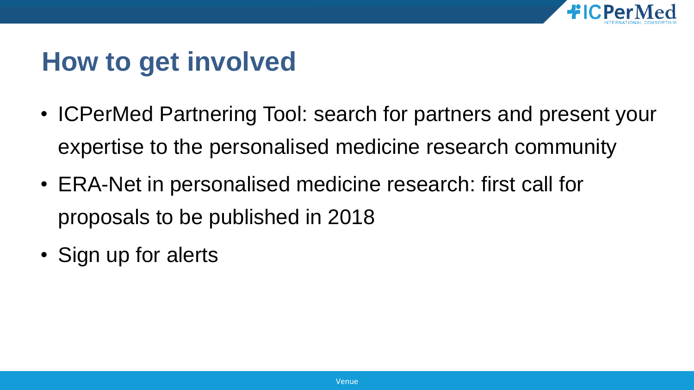

## **How to get involved**

- ICPerMed Partnering Tool: search for partners and present your expertise to the personalised medicine research community
- ERA-Net in personalised medicine research: first call for proposals to be published in 2018
- Sign up for alerts